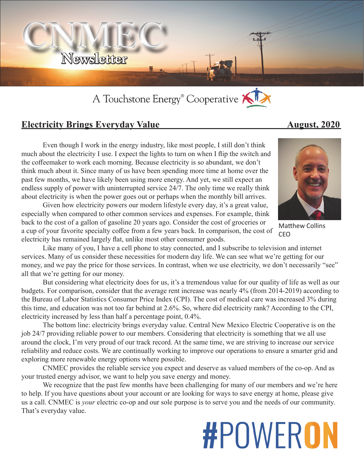

## A Touchstone Energy<sup>®</sup> Cooperative KI

## **Electricity Brings Everyday Value August, 2020**

Even though I work in the energy industry, like most people, I still don't think much about the electricity I use. I expect the lights to turn on when I flip the switch and the coffeemaker to work each morning. Because electricity is so abundant, we don't think much about it. Since many of us have been spending more time at home over the past few months, we have likely been using more energy. And yet, we still expect an endless supply of power with uninterrupted service 24/7. The only time we really think about electricity is when the power goes out or perhaps when the monthly bill arrives.

Given how electricity powers our modern lifestyle every day, it's a great value, especially when compared to other common services and expenses. For example, think back to the cost of a gallon of gasoline 20 years ago. Consider the cost of groceries or a cup of your favorite specialty coffee from a few years back. In comparison, the cost of electricity has remained largely flat, unlike most other consumer goods.

Like many of you, I have a cell phone to stay connected, and I subscribe to television and internet services. Many of us consider these necessities for modern day life. We can see what we're getting for our money, and we pay the price for those services. In contrast, when we use electricity, we don't necessarily "see" all that we're getting for our money.

But considering what electricity does for us, it's a tremendous value for our quality of life as well as our budgets. For comparison, consider that the average rent increase was nearly 4% (from 2014-2019) according to the Bureau of Labor Statistics Consumer Price Index (CPI). The cost of medical care was increased 3% during this time, and education was not too far behind at 2.6%. So, where did electricity rank? According to the CPI, electricity increased by less than half a percentage point, 0.4%.

The bottom line: electricity brings everyday value. Central New Mexico Electric Cooperative is on the job 24/7 providing reliable power to our members. Considering that electricity is something that we all use around the clock, I'm very proud of our track record. At the same time, we are striving to increase our service reliability and reduce costs. We are continually working to improve our operations to ensure a smarter grid and exploring more renewable energy options where possible.

CNMEC provides the reliable service you expect and deserve as valued members of the co-op. And as your trusted energy advisor, we want to help you save energy and money.

We recognize that the past few months have been challenging for many of our members and we're here to help. If you have questions about your account or are looking for ways to save energy at home, please give us a call. CNMEC is *your* electric co-op and our sole purpose is to serve you and the needs of our community. That's everyday value.

# **#POWERON**



Matthew Collins CEO